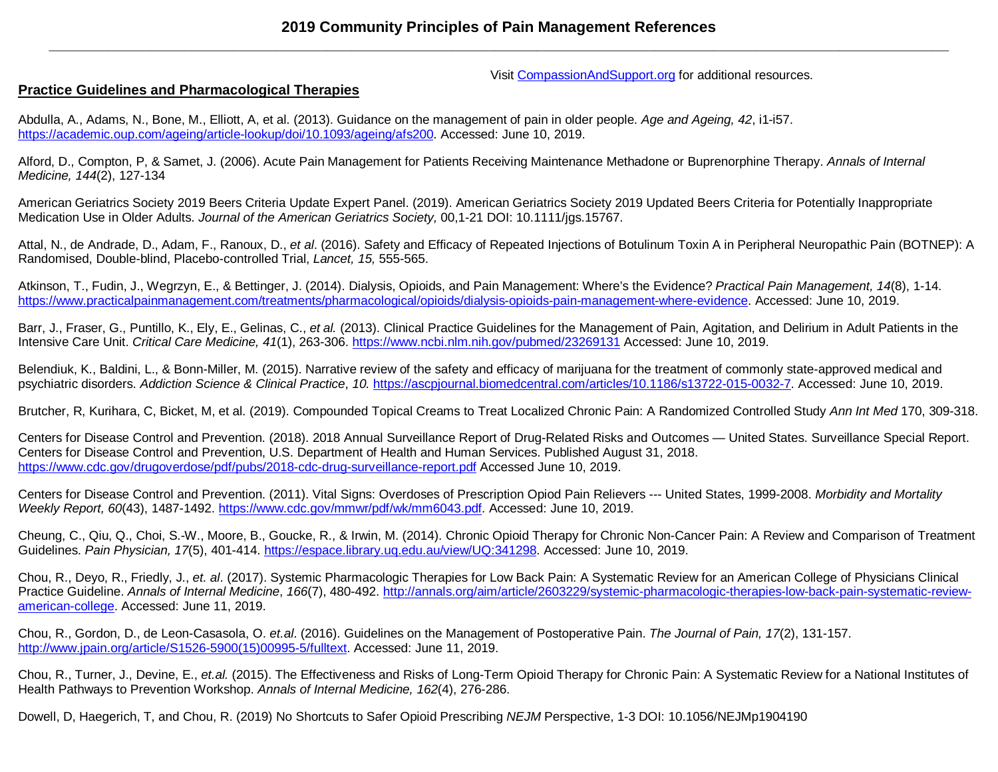Visit [CompassionAndSupport.org](http://www.compassionandsupport.org/) for additional resources.

# **Practice Guidelines and Pharmacological Therapies**

Abdulla, A., Adams, N., Bone, M., Elliott, A, et al. (2013). Guidance on the management of pain in older people. *Age and Ageing, 42*, i1-i57. [https://academic.oup.com/ageing/article-lookup/doi/10.1093/ageing/afs200.](https://academic.oup.com/ageing/article-lookup/doi/10.1093/ageing/afs200) Accessed: June 10, 2019.

Alford, D., Compton, P, & Samet, J. (2006). Acute Pain Management for Patients Receiving Maintenance Methadone or Buprenorphine Therapy. *Annals of Internal Medicine, 144*(2), 127-134

American Geriatrics Society 2019 Beers Criteria Update Expert Panel. (2019). American Geriatrics Society 2019 Updated Beers Criteria for Potentially Inappropriate Medication Use in Older Adults. *Journal of the American Geriatrics Society,* 00,1-21 DOI: 10.1111/jgs.15767.

Attal, N., de Andrade, D., Adam, F., Ranoux, D., *et al*. (2016). Safety and Efficacy of Repeated Injections of Botulinum Toxin A in Peripheral Neuropathic Pain (BOTNEP): A Randomised, Double-blind, Placebo-controlled Trial, *Lancet, 15,* 555-565.

Atkinson, T., Fudin, J., Wegrzyn, E., & Bettinger, J. (2014). Dialysis, Opioids, and Pain Management: Where's the Evidence? *Practical Pain Management, 14*(8), 1-14. [https://www.practicalpainmanagement.com/treatments/pharmacological/opioids/dialysis-opioids-pain-management-where-evidence.](https://www.practicalpainmanagement.com/treatments/pharmacological/opioids/dialysis-opioids-pain-management-where-evidence) Accessed: June 10, 2019.

Barr, J., Fraser, G., Puntillo, K., Ely, E., Gelinas, C., *et al.* (2013). Clinical Practice Guidelines for the Management of Pain, Agitation, and Delirium in Adult Patients in the Intensive Care Unit. *Critical Care Medicine, 41*(1), 263-306.<https://www.ncbi.nlm.nih.gov/pubmed/23269131> Accessed: June 10, 2019.

Belendiuk, K., Baldini, L., & Bonn-Miller, M. (2015). Narrative review of the safety and efficacy of marijuana for the treatment of commonly state-approved medical and psychiatric disorders. *Addiction Science & Clinical Practice*, *10.* [https://ascpjournal.biomedcentral.com/articles/10.1186/s13722-015-0032-7.](https://ascpjournal.biomedcentral.com/articles/10.1186/s13722-015-0032-7) Accessed: June 10, 2019.

Brutcher, R, Kurihara, C, Bicket, M, et al. (2019). Compounded Topical Creams to Treat Localized Chronic Pain: A Randomized Controlled Study *Ann Int Med* 170, 309-318.

Centers for Disease Control and Prevention. (2018). 2018 Annual Surveillance Report of Drug-Related Risks and Outcomes — United States. Surveillance Special Report. Centers for Disease Control and Prevention, U.S. Department of Health and Human Services. Published August 31, 2018. <https://www.cdc.gov/drugoverdose/pdf/pubs/2018-cdc-drug-surveillance-report.pdf> Accessed June 10, 2019.

Centers for Disease Control and Prevention. (2011). Vital Signs: Overdoses of Prescription Opiod Pain Relievers --- United States, 1999-2008. *Morbidity and Mortality Weekly Report, 60*(43), 1487-1492. [https://www.cdc.gov/mmwr/pdf/wk/mm6043.pdf.](https://www.cdc.gov/mmwr/pdf/wk/mm6043.pdf) Accessed: June 10, 2019.

Cheung, C., Qiu, Q., Choi, S.-W., Moore, B., Goucke, R., & Irwin, M. (2014). Chronic Opioid Therapy for Chronic Non-Cancer Pain: A Review and Comparison of Treatment Guidelines. *Pain Physician, 17*(5), 401-414. [https://espace.library.uq.edu.au/view/UQ:341298.](https://espace.library.uq.edu.au/view/UQ:341298) Accessed: June 10, 2019.

Chou, R., Deyo, R., Friedly, J., *et. al*. (2017). Systemic Pharmacologic Therapies for Low Back Pain: A Systematic Review for an American College of Physicians Clinical Practice Guideline. *Annals of Internal Medicine*, *166*(7), 480-492. [http://annals.org/aim/article/2603229/systemic-pharmacologic-therapies-low-back-pain-systematic-review](http://annals.org/aim/article/2603229/systemic-pharmacologic-therapies-low-back-pain-systematic-review-american-college)[american-college.](http://annals.org/aim/article/2603229/systemic-pharmacologic-therapies-low-back-pain-systematic-review-american-college) Accessed: June 11, 2019.

Chou, R., Gordon, D., de Leon-Casasola, O. *et.al*. (2016). Guidelines on the Management of Postoperative Pain. *The Journal of Pain, 17*(2), 131-157. [http://www.jpain.org/article/S1526-5900\(15\)00995-5/fulltext.](http://www.jpain.org/article/S1526-5900(15)00995-5/fulltext) Accessed: June 11, 2019.

Chou, R., Turner, J., Devine, E., *et.al.* (2015). The Effectiveness and Risks of Long-Term Opioid Therapy for Chronic Pain: A Systematic Review for a National Institutes of Health Pathways to Prevention Workshop. *Annals of Internal Medicine, 162*(4), 276-286.

Dowell, D, Haegerich, T, and Chou, R. (2019) No Shortcuts to Safer Opioid Prescribing *NEJM* Perspective, 1-3 DOI: 10.1056/NEJMp1904190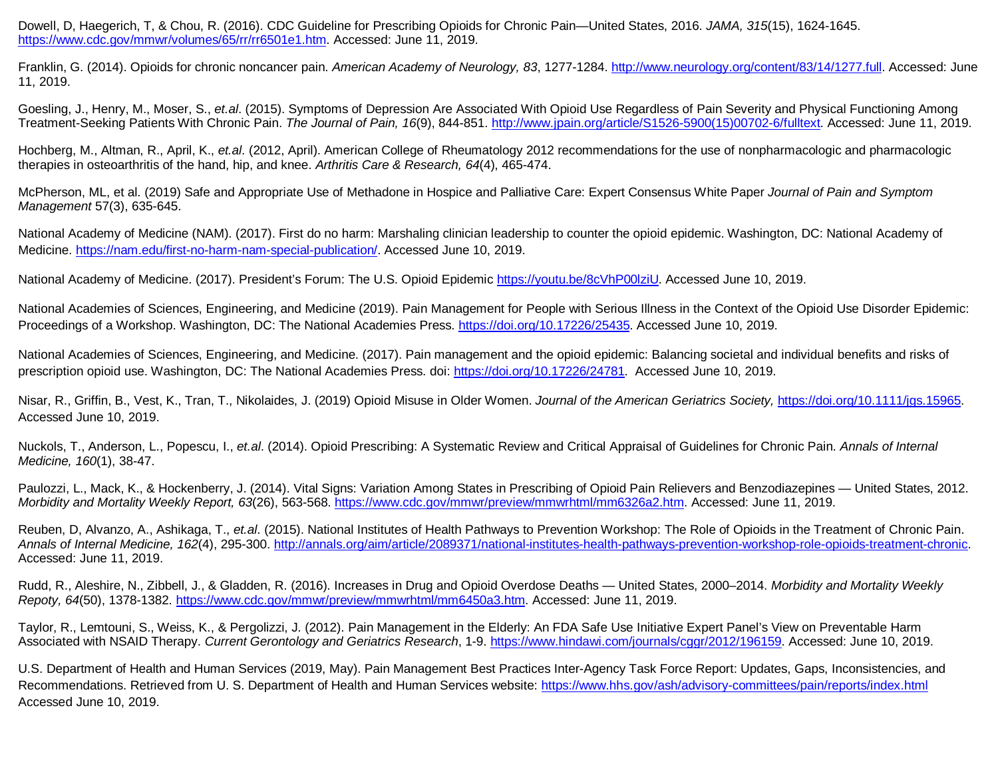Dowell, D, Haegerich, T, & Chou, R. (2016). CDC Guideline for Prescribing Opioids for Chronic Pain—United States, 2016. *JAMA, 315*(15), 1624-1645. [https://www.cdc.gov/mmwr/volumes/65/rr/rr6501e1.htm.](https://www.cdc.gov/mmwr/volumes/65/rr/rr6501e1.htm) Accessed: June 11, 2019.

Franklin, G. (2014). Opioids for chronic noncancer pain. *American Academy of Neurology, 83*, 1277-1284. [http://www.neurology.org/content/83/14/1277.full.](http://www.neurology.org/content/83/14/1277.full) Accessed: June 11, 2019.

Goesling, J., Henry, M., Moser, S., *et.al*. (2015). Symptoms of Depression Are Associated With Opioid Use Regardless of Pain Severity and Physical Functioning Among Treatment-Seeking Patients With Chronic Pain. *The Journal of Pain, 16*(9), 844-851. [http://www.jpain.org/article/S1526-5900\(15\)00702-6/fulltext.](http://www.jpain.org/article/S1526-5900(15)00702-6/fulltext) Accessed: June 11, 2019.

Hochberg, M., Altman, R., April, K., *et.al*. (2012, April). American College of Rheumatology 2012 recommendations for the use of nonpharmacologic and pharmacologic therapies in osteoarthritis of the hand, hip, and knee. *Arthritis Care & Research, 64*(4), 465-474.

McPherson, ML, et al. (2019) Safe and Appropriate Use of Methadone in Hospice and Palliative Care: Expert Consensus White Paper *Journal of Pain and Symptom Management* 57(3), 635-645.

National Academy of Medicine (NAM). (2017). First do no harm: Marshaling clinician leadership to counter the opioid epidemic. Washington, DC: National Academy of Medicine. [https://nam.edu/first-no-harm-nam-special-publication/.](https://nam.edu/first-no-harm-nam-special-publication/) Accessed June 10, 2019.

National Academy of Medicine. (2017). President's Forum: The U.S. Opioid Epidemic [https://youtu.be/8cVhP00lziU.](https://youtu.be/8cVhP00lziU) Accessed June 10, 2019.

National Academies of Sciences, Engineering, and Medicine (2019). Pain Management for People with Serious Illness in the Context of the Opioid Use Disorder Epidemic: Proceedings of a Workshop. Washington, DC: The National Academies Press. [https://doi.org/10.17226/25435.](https://doi.org/10.17226/25435) Accessed June 10, 2019.

National Academies of Sciences, Engineering, and Medicine. (2017). Pain management and the opioid epidemic: Balancing societal and individual benefits and risks of prescription opioid use. Washington, DC: The National Academies Press. doi: [https://doi.org/10.17226/24781.](https://doi.org/10.17226/24781) Accessed June 10, 2019.

Nisar, R., Griffin, B., Vest, K., Tran, T., Nikolaides, J. (2019) Opioid Misuse in Older Women. *Journal of the American Geriatrics Society,* [https://doi.org/10.1111/jgs.15965.](https://doi.org/10.1111/jgs.15965) Accessed June 10, 2019.

Nuckols, T., Anderson, L., Popescu, I., *et.al*. (2014). Opioid Prescribing: A Systematic Review and Critical Appraisal of Guidelines for Chronic Pain. *Annals of Internal Medicine, 160*(1), 38-47.

Paulozzi, L., Mack, K., & Hockenberry, J. (2014). Vital Signs: Variation Among States in Prescribing of Opioid Pain Relievers and Benzodiazepines — United States, 2012. *Morbidity and Mortality Weekly Report, 63*(26), 563-568. [https://www.cdc.gov/mmwr/preview/mmwrhtml/mm6326a2.htm.](https://www.cdc.gov/mmwr/preview/mmwrhtml/mm6326a2.htm) Accessed: June 11, 2019.

Reuben, D, Alvanzo, A., Ashikaga, T., *et.al*. (2015). National Institutes of Health Pathways to Prevention Workshop: The Role of Opioids in the Treatment of Chronic Pain. *Annals of Internal Medicine, 162*(4), 295-300. [http://annals.org/aim/article/2089371/national-institutes-health-pathways-prevention-workshop-role-opioids-treatment-chronic.](http://annals.org/aim/article/2089371/national-institutes-health-pathways-prevention-workshop-role-opioids-treatment-chronic) Accessed: June 11, 2019.

Rudd, R., Aleshire, N., Zibbell, J., & Gladden, R. (2016). Increases in Drug and Opioid Overdose Deaths — United States, 2000–2014. *Morbidity and Mortality Weekly Repoty, 64*(50), 1378-1382. [https://www.cdc.gov/mmwr/preview/mmwrhtml/mm6450a3.htm.](https://www.cdc.gov/mmwr/preview/mmwrhtml/mm6450a3.htm) Accessed: June 11, 2019.

Taylor, R., Lemtouni, S., Weiss, K., & Pergolizzi, J. (2012). Pain Management in the Elderly: An FDA Safe Use Initiative Expert Panel's View on Preventable Harm Associated with NSAID Therapy. *Current Gerontology and Geriatrics Research*, 1-9. [https://www.hindawi.com/journals/cggr/2012/196159.](https://www.hindawi.com/journals/cggr/2012/196159) Accessed: June 10, 2019.

U.S. Department of Health and Human Services (2019, May). Pain Management Best Practices Inter-Agency Task Force Report: Updates, Gaps, Inconsistencies, and Recommendations. Retrieved from U. S. Department of Health and Human Services website:<https://www.hhs.gov/ash/advisory-committees/pain/reports/index.html> Accessed June 10, 2019.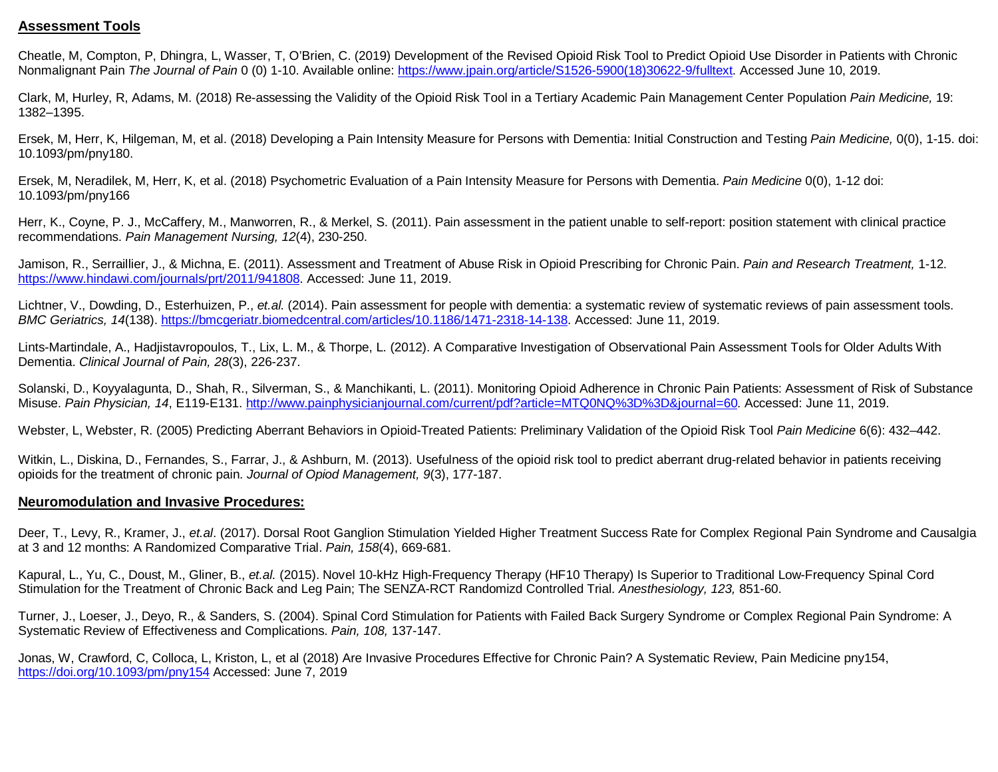# **Assessment Tools**

Cheatle, M, Compton, P, Dhingra, L, Wasser, T, O'Brien, C. (2019) Development of the Revised Opioid Risk Tool to Predict Opioid Use Disorder in Patients with Chronic Nonmalignant Pain *The Journal of Pain* 0 (0) 1-10. Available online: [https://www.jpain.org/article/S1526-5900\(18\)30622-9/fulltext.](https://www.jpain.org/article/S1526-5900(18)30622-9/fulltext) Accessed June 10, 2019.

Clark, M, Hurley, R, Adams, M. (2018) Re-assessing the Validity of the Opioid Risk Tool in a Tertiary Academic Pain Management Center Population *Pain Medicine,* 19: 1382–1395.

Ersek, M, Herr, K, Hilgeman, M, et al. (2018) Developing a Pain Intensity Measure for Persons with Dementia: Initial Construction and Testing *Pain Medicine,* 0(0), 1-15. doi: 10.1093/pm/pny180.

Ersek, M, Neradilek, M, Herr, K, et al. (2018) Psychometric Evaluation of a Pain Intensity Measure for Persons with Dementia. *Pain Medicine* 0(0), 1-12 doi: 10.1093/pm/pny166

Herr, K., Coyne, P. J., McCaffery, M., Manworren, R., & Merkel, S. (2011). Pain assessment in the patient unable to self-report: position statement with clinical practice recommendations. *Pain Management Nursing, 12*(4), 230-250.

Jamison, R., Serraillier, J., & Michna, E. (2011). Assessment and Treatment of Abuse Risk in Opioid Prescribing for Chronic Pain. *Pain and Research Treatment,* 1-12. [https://www.hindawi.com/journals/prt/2011/941808.](https://www.hindawi.com/journals/prt/2011/941808) Accessed: June 11, 2019.

Lichtner, V., Dowding, D., Esterhuizen, P., *et.al.* (2014). Pain assessment for people with dementia: a systematic review of systematic reviews of pain assessment tools. *BMC Geriatrics, 14*(138). [https://bmcgeriatr.biomedcentral.com/articles/10.1186/1471-2318-14-138.](https://bmcgeriatr.biomedcentral.com/articles/10.1186/1471-2318-14-138) Accessed: June 11, 2019.

Lints-Martindale, A., Hadjistavropoulos, T., Lix, L. M., & Thorpe, L. (2012). A Comparative Investigation of Observational Pain Assessment Tools for Older Adults With Dementia. *Clinical Journal of Pain, 28*(3), 226-237.

Solanski, D., Koyyalagunta, D., Shah, R., Silverman, S., & Manchikanti, L. (2011). Monitoring Opioid Adherence in Chronic Pain Patients: Assessment of Risk of Substance Misuse. *Pain Physician, 14*, E119-E131. [http://www.painphysicianjournal.com/current/pdf?article=MTQ0NQ%3D%3D&journal=60.](http://www.painphysicianjournal.com/current/pdf?article=MTQ0NQ%3D%3D&journal=60) Accessed: June 11, 2019.

Webster, L, Webster, R. (2005) Predicting Aberrant Behaviors in Opioid-Treated Patients: Preliminary Validation of the Opioid Risk Tool *Pain Medicine* 6(6): 432–442.

Witkin, L., Diskina, D., Fernandes, S., Farrar, J., & Ashburn, M. (2013). Usefulness of the opioid risk tool to predict aberrant drug-related behavior in patients receiving opioids for the treatment of chronic pain. *Journal of Opiod Management, 9*(3), 177-187.

### **Neuromodulation and Invasive Procedures:**

Deer, T., Levy, R., Kramer, J., *et.al*. (2017). Dorsal Root Ganglion Stimulation Yielded Higher Treatment Success Rate for Complex Regional Pain Syndrome and Causalgia at 3 and 12 months: A Randomized Comparative Trial. *Pain, 158*(4), 669-681.

Kapural, L., Yu, C., Doust, M., Gliner, B., *et.al.* (2015). Novel 10-kHz High-Frequency Therapy (HF10 Therapy) Is Superior to Traditional Low-Frequency Spinal Cord Stimulation for the Treatment of Chronic Back and Leg Pain; The SENZA-RCT Randomizd Controlled Trial. *Anesthesiology, 123,* 851-60.

Turner, J., Loeser, J., Deyo, R., & Sanders, S. (2004). Spinal Cord Stimulation for Patients with Failed Back Surgery Syndrome or Complex Regional Pain Syndrome: A Systematic Review of Effectiveness and Complications. *Pain, 108,* 137-147.

Jonas, W, Crawford, C, Colloca, L, Kriston, L, et al (2018) Are Invasive Procedures Effective for Chronic Pain? A Systematic Review, Pain Medicine pny154, <https://doi.org/10.1093/pm/pny154> Accessed: June 7, 2019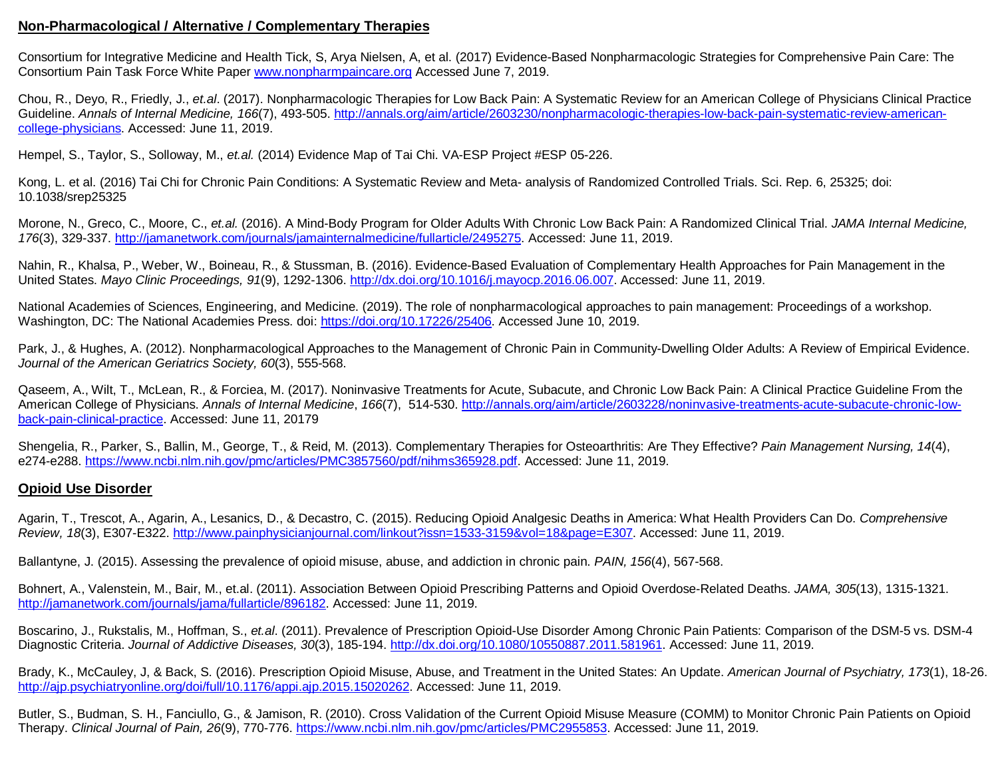# **Non-Pharmacological / Alternative / Complementary Therapies**

Consortium for Integrative Medicine and Health Tick, S, Arya Nielsen, A, et al. (2017) Evidence-Based Nonpharmacologic Strategies for Comprehensive Pain Care: The Consortium Pain Task Force White Pape[r www.nonpharmpaincare.org](http://www.nonpharmpaincare.org/) Accessed June 7, 2019.

Chou, R., Deyo, R., Friedly, J., *et.al*. (2017). Nonpharmacologic Therapies for Low Back Pain: A Systematic Review for an American College of Physicians Clinical Practice Guideline. Annals of Internal Medicine, 166(7), 493-505. [http://annals.org/aim/article/2603230/nonpharmacologic-therapies-low-back-pain-systematic-review-american](http://annals.org/aim/article/2603230/nonpharmacologic-therapies-low-back-pain-systematic-review-american-college-physicians)[college-physicians.](http://annals.org/aim/article/2603230/nonpharmacologic-therapies-low-back-pain-systematic-review-american-college-physicians) Accessed: June 11, 2019.

Hempel, S., Taylor, S., Solloway, M., *et.al.* (2014) Evidence Map of Tai Chi. VA-ESP Project #ESP 05-226.

Kong, L. et al. (2016) Tai Chi for Chronic Pain Conditions: A Systematic Review and Meta- analysis of Randomized Controlled Trials. Sci. Rep. 6, 25325; doi: 10.1038/srep25325

Morone, N., Greco, C., Moore, C., *et.al.* (2016). A Mind-Body Program for Older Adults With Chronic Low Back Pain: A Randomized Clinical Trial. *JAMA Internal Medicine, 176*(3), 329-337. [http://jamanetwork.com/journals/jamainternalmedicine/fullarticle/2495275.](http://jamanetwork.com/journals/jamainternalmedicine/fullarticle/2495275) Accessed: June 11, 2019.

Nahin, R., Khalsa, P., Weber, W., Boineau, R., & Stussman, B. (2016). Evidence-Based Evaluation of Complementary Health Approaches for Pain Management in the United States. *Mayo Clinic Proceedings, 91*(9), 1292-1306. [http://dx.doi.org/10.1016/j.mayocp.2016.06.007.](http://dx.doi.org/10.1016/j.mayocp.2016.06.007) Accessed: June 11, 2019.

National Academies of Sciences, Engineering, and Medicine. (2019). The role of nonpharmacological approaches to pain management: Proceedings of a workshop. Washington, DC: The National Academies Press. doi: [https://doi.org/10.17226/25406.](https://doi.org/10.17226/25406) Accessed June 10, 2019.

Park, J., & Hughes, A. (2012). Nonpharmacological Approaches to the Management of Chronic Pain in Community-Dwelling Older Adults: A Review of Empirical Evidence. *Journal of the American Geriatrics Society, 60*(3), 555-568.

Qaseem, A., Wilt, T., McLean, R., & Forciea, M. (2017). Noninvasive Treatments for Acute, Subacute, and Chronic Low Back Pain: A Clinical Practice Guideline From the American College of Physicians. *Annals of Internal Medicine*, *166*(7), 514-530. [http://annals.org/aim/article/2603228/noninvasive-treatments-acute-subacute-chronic-low](http://annals.org/aim/article/2603228/noninvasive-treatments-acute-subacute-chronic-low-back-pain-clinical-practice)[back-pain-clinical-practice.](http://annals.org/aim/article/2603228/noninvasive-treatments-acute-subacute-chronic-low-back-pain-clinical-practice) Accessed: June 11, 20179

Shengelia, R., Parker, S., Ballin, M., George, T., & Reid, M. (2013). Complementary Therapies for Osteoarthritis: Are They Effective? *Pain Management Nursing, 14*(4), e274-e288. [https://www.ncbi.nlm.nih.gov/pmc/articles/PMC3857560/pdf/nihms365928.pdf.](https://www.ncbi.nlm.nih.gov/pmc/articles/PMC3857560/pdf/nihms365928.pdf) Accessed: June 11, 2019.

# **Opioid Use Disorder**

Agarin, T., Trescot, A., Agarin, A., Lesanics, D., & Decastro, C. (2015). Reducing Opioid Analgesic Deaths in America: What Health Providers Can Do. *Comprehensive Review, 18*(3), E307-E322. [http://www.painphysicianjournal.com/linkout?issn=1533-3159&vol=18&page=E307.](http://www.painphysicianjournal.com/linkout?issn=1533-3159&vol=18&page=E307) Accessed: June 11, 2019.

Ballantyne, J. (2015). Assessing the prevalence of opioid misuse, abuse, and addiction in chronic pain. *PAIN, 156*(4), 567-568.

Bohnert, A., Valenstein, M., Bair, M., et.al. (2011). Association Between Opioid Prescribing Patterns and Opioid Overdose-Related Deaths. *JAMA, 305*(13), 1315-1321. [http://jamanetwork.com/journals/jama/fullarticle/896182.](http://jamanetwork.com/journals/jama/fullarticle/896182) Accessed: June 11, 2019.

Boscarino, J., Rukstalis, M., Hoffman, S., *et.al*. (2011). Prevalence of Prescription Opioid-Use Disorder Among Chronic Pain Patients: Comparison of the DSM-5 vs. DSM-4 Diagnostic Criteria. *Journal of Addictive Diseases, 30*(3), 185-194. [http://dx.doi.org/10.1080/10550887.2011.581961.](http://dx.doi.org/10.1080/10550887.2011.581961) Accessed: June 11, 2019.

Brady, K., McCauley, J, & Back, S. (2016). Prescription Opioid Misuse, Abuse, and Treatment in the United States: An Update. *American Journal of Psychiatry, 173*(1), 18-26. [http://ajp.psychiatryonline.org/doi/full/10.1176/appi.ajp.2015.15020262.](http://ajp.psychiatryonline.org/doi/full/10.1176/appi.ajp.2015.15020262) Accessed: June 11, 2019.

Butler, S., Budman, S. H., Fanciullo, G., & Jamison, R. (2010). Cross Validation of the Current Opioid Misuse Measure (COMM) to Monitor Chronic Pain Patients on Opioid Therapy. *Clinical Journal of Pain, 26*(9), 770-776. [https://www.ncbi.nlm.nih.gov/pmc/articles/PMC2955853.](https://www.ncbi.nlm.nih.gov/pmc/articles/PMC2955853) Accessed: June 11, 2019.